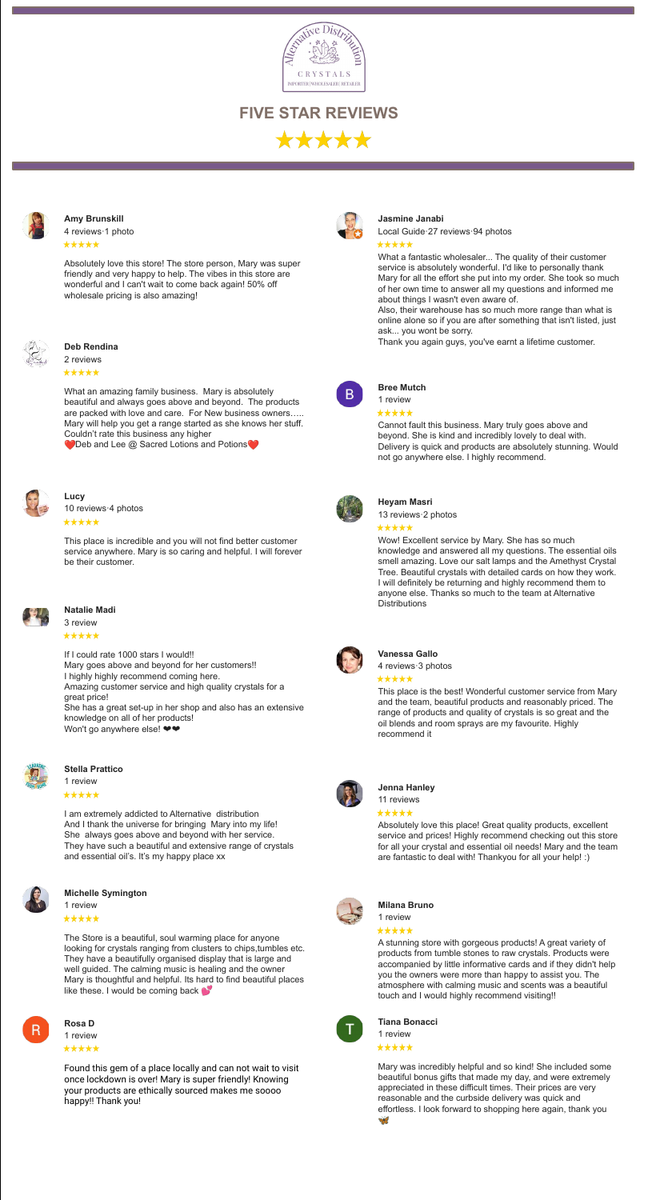

**FIVE STAR REVIEWS** \*\*\*\*



#### **[Jasmine Janabi](https://www.google.com/url?q=https://www.google.com/maps/contrib/109083163629967169314?hl%3Den-PH%26sa%3DX%26ved%3D2ahUKEwiX95fywt3zAhXIZt4KHUGwD5AQvvQBegQIARA_&sa=D&source=editors&ust=1635925113468000&usg=AOvVaw10CFUnSaaom1_rYkJrOY0G)**

[Local Guide·27 reviews·94 photos](https://www.google.com/url?q=https://www.google.com/maps/contrib/109083163629967169314?hl%3Den-PH%26sa%3DX%26ved%3D2ahUKEwiX95fywt3zAhXIZt4KHUGwD5AQvvQBegQIARA_&sa=D&source=editors&ust=1635925113468000&usg=AOvVaw10CFUnSaaom1_rYkJrOY0G)

#### \*\*\*\*\*

What a fantastic wholesaler... The quality of their customer service is absolutely wonderful. I'd like to personally thank Mary for all the effort she put into my order. She took so much of her own time to answer all my questions and informed me about things I wasn't even aware of.

Also, their warehouse has so much more range than what is online alone so if you are after something that isn't listed, just ask... you wont be sorry.

Thank you again guys, you've earnt a lifetime customer.

**[Amy Brunskill](https://www.google.com/url?q=https://www.google.com/maps/contrib/117206391917266101895?hl%3Den-PH%26sa%3DX%26ved%3D2ahUKEwiX95fywt3zAhXIZt4KHUGwD5AQvvQBegQIARAy&sa=D&source=editors&ust=1635925113478000&usg=AOvVaw3hoOU9FYjyoiJU9IPDmDqM)** [4 reviews·1 photo](https://www.google.com/url?q=https://www.google.com/maps/contrib/111471376882637376896?hl%3Den-PH%26sa%3DX%26ved%3D2ahUKEwiA3cmNh9vzAhWOF6YKHUHMD7AQvvQBegQIARAf&sa=D&source=editors&ust=1635925113478000&usg=AOvVaw38P9cdHn3bSg6ehPX8dXHt)

\*\*\*\*\*

Absolutely love this store! The store person, Mary was super friendly and very happy to help. The vibes in this store are wonderful and I can't wait to come back again! 50% off wholesale pricing is also amazing!



Wow! Excellent service by Mary. She has so much knowledge and answered all my questions. The essential oils smell amazing. Love our salt lamps and the Amethyst Crystal Tree. Beautiful crystals with detailed cards on how they work. I will definitely be returning and highly recommend them to anyone else. Thanks so much to the team at Alternative **Distributions** 



**[Deb Rendina](https://www.google.com/url?q=https://www.google.com/maps/contrib/111471376882637376896?hl%3Den-PH%26sa%3DX%26ved%3D2ahUKEwiA3cmNh9vzAhWOF6YKHUHMD7AQvvQBegQIARAf&sa=D&source=editors&ust=1635925113484000&usg=AOvVaw0Ywiwklh2vBMCZnx7lZLGq)**

# \*\*\*\*\*

[2 reviews](https://www.google.com/url?q=https://www.google.com/maps/contrib/107062214793773264565?hl%3Den-PH%26sa%3DX%26ved%3D2ahUKEwiX95fywt3zAhXIZt4KHUGwD5AQvvQBegQIARBM&sa=D&source=editors&ust=1635925113485000&usg=AOvVaw1xx5tB8py_BFT1A8EEyqlv)

What an amazing family business. Mary is absolutely beautiful and always goes above and beyond. The products are packed with love and care. For New business owners….. Mary will help you get a range started as she knows her stuff. Couldn't rate this business any higher

O Deb and Lee @ Sacred Lotions and Potions<sup>o</sup>



[3 review](https://www.google.com/url?q=https://www.google.com/maps/contrib/100893299751341046922?hl%3Den-PH%26sa%3DX%26ved%3D2ahUKEwi1h6XKxN3zAhWNdd4KHWbBCnIQvvQBegQIARAD&sa=D&source=editors&ust=1635925113512000&usg=AOvVaw38Y-vXtDZyL8q-jXWccjdn) \*\*\*\*\*

If I could rate 1000 stars I would!! Mary goes above and beyond for her customers!! I highly highly recommend coming here. Amazing customer service and high quality crystals for a great price! She has a great set-up in her shop and also has an extensive knowledge on all of her products! Won't go anywhere else!  $\blacktriangleright\blacktriangleright$ 



B.

**[Bree Mutch](https://www.google.com/url?q=https://www.google.com/maps/contrib/111805658226662125721?hl%3Den-PH%26sa%3DX%26ved%3D2ahUKEwiX95fywt3zAhXIZt4KHUGwD5AQvvQBegQIARBZ&sa=D&source=editors&ust=1635925113493000&usg=AOvVaw2zC-Dza5VP68L1Z8bt2rAp)** [1 review](https://www.google.com/url?q=https://www.google.com/maps/contrib/111805658226662125721?hl%3Den-PH%26sa%3DX%26ved%3D2ahUKEwiX95fywt3zAhXIZt4KHUGwD5AQvvQBegQIARBZ&sa=D&source=editors&ust=1635925113493000&usg=AOvVaw2zC-Dza5VP68L1Z8bt2rAp)

\*\*\*\*\*

Cannot fault this business. Mary truly goes above and beyond. She is kind and incredibly lovely to deal with.

Delivery is quick and products are absolutely stunning. Would



not go anywhere else. I highly recommend.

**[Lucy](https://www.google.com/url?q=https://www.google.com/maps/contrib/108689004245620681599?hl%3Den-PH%26sa%3DX%26ved%3D2ahUKEwiX95fywt3zAhXIZt4KHUGwD5AQvvQBegQIARBx&sa=D&source=editors&ust=1635925113499000&usg=AOvVaw347LdsZKelaby3mZXocQmT)** [10 reviews·4 photos](https://www.google.com/url?q=https://www.google.com/maps/contrib/111471376882637376896?hl%3Den-PH%26sa%3DX%26ved%3D2ahUKEwiA3cmNh9vzAhWOF6YKHUHMD7AQvvQBegQIARAf&sa=D&source=editors&ust=1635925113499000&usg=AOvVaw2dzy3wU9ydAJL9yImfht_6)

#### \*\*\*\*\*

This place is incredible and you will not find better customer service anywhere. Mary is so caring and helpful. I will forever be their customer.



#### **[Heyam Masri](https://www.google.com/url?q=https://www.google.com/maps/contrib/103130828422865040270?hl%3Den-PH%26sa%3DX%26ved%3D2ahUKEwiX95fywt3zAhXIZt4KHUGwD5AQvvQBegUIARCgAQ&sa=D&source=editors&ust=1635925113504000&usg=AOvVaw3FVXecFNPu6Ge-W7bvMGH-)**

[13 reviews·2 photos](https://www.google.com/url?q=https://www.google.com/maps/contrib/103130828422865040270?hl%3Den-PH%26sa%3DX%26ved%3D2ahUKEwiX95fywt3zAhXIZt4KHUGwD5AQvvQBegUIARCgAQ&sa=D&source=editors&ust=1635925113504000&usg=AOvVaw3FVXecFNPu6Ge-W7bvMGH-)

#### \*\*\*\*\*

**[Michelle Symington](https://www.google.com/url?q=https://www.google.com/maps/contrib/111471376882637376896?hl%3Den-PH%26sa%3DX%26ved%3D2ahUKEwiA3cmNh9vzAhWOF6YKHUHMD7AQvvQBegQIARAf&sa=D&source=editors&ust=1635925113547000&usg=AOvVaw22ZQpvCHXMTg7BTdDwLFTZ)** [1 review](https://www.google.com/url?q=https://www.google.com/maps/contrib/111968687855621490207?hl%3Den-PH%26sa%3DX%26ved%3D2ahUKEwinq4nex93zAhVMZd4KHTHVAFgQvvQBegQIARAm&sa=D&source=editors&ust=1635925113547000&usg=AOvVaw2ksNGK_cFjbXBjiwyCYsLm) \*\*\*\*\*

The Store is a beautiful, soul warming place for anyone looking for crystals ranging from clusters to chips,tumbles etc. They have a beautifully organised display that is large and well guided. The calming music is healing and the owner Mary is thoughtful and helpful. Its hard to find beautiful places like these. I would be coming back



**[Natalie Madi](https://www.google.com/url?q=https://www.google.com/maps/contrib/111471376882637376896?hl%3Den-PH%26sa%3DX%26ved%3D2ahUKEwiA3cmNh9vzAhWOF6YKHUHMD7AQvvQBegQIARAf&sa=D&source=editors&ust=1635925113511000&usg=AOvVaw0vb4wSsnYrn9dUKgTBS6qa)**

[1 review](https://www.google.com/url?q=https://www.google.com/maps/contrib/103537219119610074546?hl%3Den-PH%26sa%3DX%26ved%3D2ahUKEwivqaasrerzAhW0IaYKHbIlBjYQvvQBegQIARBw&sa=D&source=editors&ust=1635925113583000&usg=AOvVaw3sGVoOK4NFdXmb8x-_u1MF) \*\*\*\*\*

Mary was incredibly helpful and so kind! She included some beautiful bonus gifts that made my day, and were extremely appreciated in these difficult times. Their prices are very reasonable and the curbside delivery was quick and effortless. I look forward to shopping here again, thank you26

# **[Vanessa Gallo](https://www.google.com/url?q=https://www.google.com/maps/contrib/113821756720331878604?hl%3Den-PH%26sa%3DX%26ved%3D2ahUKEwi1h6XKxN3zAhWNdd4KHWbBCnIQvvQBegQIARAc&sa=D&source=editors&ust=1635925113520000&usg=AOvVaw2G5-eAIDGDsbxYzItZoUqM)**

[4 reviews·3 photos](https://www.google.com/url?q=https://www.google.com/maps/contrib/113821756720331878604?hl%3Den-PH%26sa%3DX%26ved%3D2ahUKEwi1h6XKxN3zAhWNdd4KHWbBCnIQvvQBegQIARAc&sa=D&source=editors&ust=1635925113521000&usg=AOvVaw3QncCQJCiLMWyCIPOP2E30)

\*\*\*\*\*

This place is the best! Wonderful customer service from Mary and the team, beautiful products and reasonably priced. The range of products and quality of crystals is so great and the oil blends and room sprays are my favourite. Highly recommend it



# **[Stella Prattico](https://www.google.com/url?q=https://www.google.com/maps/contrib/111471376882637376896?hl%3Den-PH%26sa%3DX%26ved%3D2ahUKEwiA3cmNh9vzAhWOF6YKHUHMD7AQvvQBegQIARAf&sa=D&source=editors&ust=1635925113527000&usg=AOvVaw0tJ3TVOUbKd73Uosp2V4Z8)**

[1 review](https://www.google.com/url?q=https://www.google.com/maps/contrib/118011702322746667136?hl%3Den-PH%26sa%3DX%26ved%3D2ahUKEwi1h6XKxN3zAhWNdd4KHWbBCnIQvvQBegQIARBO&sa=D&source=editors&ust=1635925113527000&usg=AOvVaw3HTTMuOAKn1ZbDuNxh-wCh)

I am extremely addicted to Alternative distribution And I thank the universe for bringing Mary into my life! She always goes above and beyond with her service. They have such a beautiful and extensive range of crystals and essential oil's. It's my happy place xx





#### \*\*\*\*\*

# [11 reviews](https://www.google.com/url?q=https://www.google.com/maps/contrib/101706799087715073476?hl%3Den-PH%26sa%3DX%26ved%3D2ahUKEwjwktyxxt3zAhWNfXAKHeVUCGYQvvQBegQIARAD&sa=D&source=editors&ust=1635925113534000&usg=AOvVaw1n_px3wJRLcvxudGlgdg-y)

## \*\*\*\*\*

Absolutely love this place! Great quality products, excellent service and prices! Highly recommend checking out this store for all your crystal and essential oil needs! Mary and the team are fantastic to deal with! Thankyou for all your help! :)



#### **[Milana Bruno](https://www.google.com/url?q=https://www.google.com/maps/contrib/112546504959510151352?hl%3Den-PH%26sa%3DX%26ved%3D2ahUKEwjwktyxxt3zAhWNfXAKHeVUCGYQvvQBegQIARA9&sa=D&source=editors&ust=1635925113540000&usg=AOvVaw1cTj3HPEffVcCRUjkNAVZ-)**

[1 review](https://www.google.com/url?q=https://www.google.com/maps/contrib/112546504959510151352?hl%3Den-PH%26sa%3DX%26ved%3D2ahUKEwjwktyxxt3zAhWNfXAKHeVUCGYQvvQBegQIARA9&sa=D&source=editors&ust=1635925113540000&usg=AOvVaw1cTj3HPEffVcCRUjkNAVZ-)

# \*\*\*\*\*

A stunning store with gorgeous products! A great variety of products from tumble stones to raw crystals. Products were accompanied by little informative cards and if they didn't help you the owners were more than happy to assist you. The atmosphere with calming music and scents was a beautiful touch and I would highly recommend visiting!!



#### **[Rosa D](https://www.google.com/url?q=https://www.google.com/maps/contrib/114053067943684924007?hl%3Den-PH%26sa%3DX%26ved%3D2ahUKEwivqaasrerzAhW0IaYKHbIlBjYQvvQBegQIARBk&sa=D&source=editors&ust=1635925113577000&usg=AOvVaw2o7IQq9UuyjfPZcyPvGQo-)**

[1 review](https://www.google.com/url?q=https://www.google.com/maps/contrib/111471376882637376896?hl%3Den-PH%26sa%3DX%26ved%3D2ahUKEwiA3cmNh9vzAhWOF6YKHUHMD7AQvvQBegQIARAf&sa=D&source=editors&ust=1635925113576000&usg=AOvVaw3bgRFmar6ORRg1PZMKo3fp)

# \*\*\*\*\*

Found this gem of a place locally and can not wait to visit once lockdown is over! Mary is super friendly! Knowing your products are ethically sourced makes me soooo happy!! Thank you!



# **[Tiana Bonacci](https://www.google.com/url?q=https://www.google.com/maps/contrib/111471376882637376896?hl%3Den-PH%26sa%3DX%26ved%3D2ahUKEwiA3cmNh9vzAhWOF6YKHUHMD7AQvvQBegQIARAf&sa=D&source=editors&ust=1635925113583000&usg=AOvVaw12mM1Sb3iW3FhQh4RonV31)**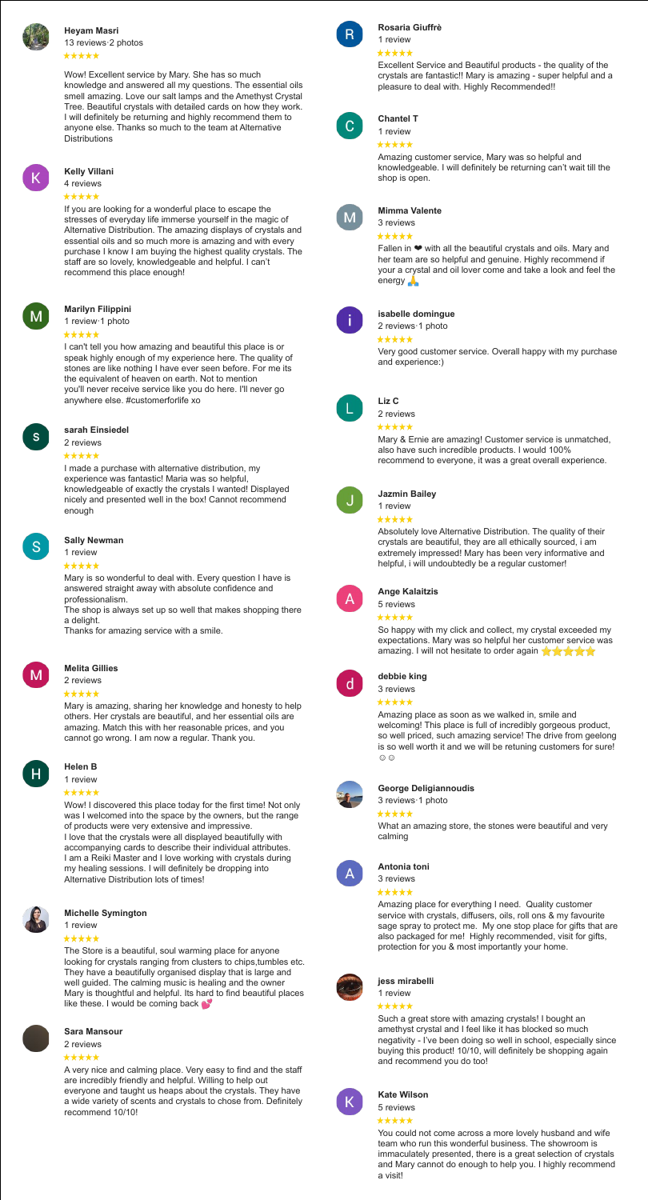# **[Rosaria Giuffrè](https://www.google.com/url?q=https://www.google.com/maps/contrib/107965721583846932570?hl%3Den-PH%26sa%3DX%26ved%3D2ahUKEwivqaasrerzAhW0IaYKHbIlBjYQvvQBegUIARCWAQ&sa=D&source=editors&ust=1635925114093000&usg=AOvVaw10Y_rnoSh7B_pVWfviEMeO)** [1 review](https://www.google.com/url?q=https://www.google.com/maps/contrib/107965721583846932570?hl%3Den-PH%26sa%3DX%26ved%3D2ahUKEwivqaasrerzAhW0IaYKHbIlBjYQvvQBegUIARCWAQ&sa=D&source=editors&ust=1635925114093000&usg=AOvVaw10Y_rnoSh7B_pVWfviEMeO)

\*\*\*\*\*



**[Heyam Masri](https://www.google.com/url?q=https://www.google.com/maps/contrib/103130828422865040270?hl%3Den-PH%26sa%3DX%26ved%3D2ahUKEwivqaasrerzAhW0IaYKHbIlBjYQvvQBegQIARB7&sa=D&source=editors&ust=1635925114100000&usg=AOvVaw1D6Rek2k6rNTTxjxGWqwX4)** [13 reviews·2 photos](https://www.google.com/url?q=https://www.google.com/maps/contrib/111471376882637376896?hl%3Den-PH%26sa%3DX%26ved%3D2ahUKEwiA3cmNh9vzAhWOF6YKHUHMD7AQvvQBegQIARAf&sa=D&source=editors&ust=1635925114099000&usg=AOvVaw2oCg_aJP1Tzwt4D7ctrWJn) \*\*\*\*\*

> Excellent Service and Beautiful products - the quality of the crystals are fantastic!! Mary is amazing - super helpful and a pleasure to deal with. Highly Recommended!!



Wow! Excellent service by Mary. She has so much knowledge and answered all my questions. The essential oils smell amazing. Love our salt lamps and the Amethyst Crystal Tree. Beautiful crystals with detailed cards on how they work. I will definitely be returning and highly recommend them to anyone else. Thanks so much to the team at Alternative **Distributions** 

> Fallen in ❤ with all the beautiful crystals and oils. Mary and her team are so helpful and genuine. Highly recommend if your a crystal and oil lover come and take a look and feel the energy **A**



# **[Chantel T](https://www.google.com/url?q=https://www.google.com/maps/contrib/112988680609572513063?hl%3Den-PH%26sa%3DX%26ved%3D2ahUKEwjm4Nb3rurzAhXQZ94KHQyaA6oQvvQBegQIARAD&sa=D&source=editors&ust=1635925114110000&usg=AOvVaw2uUY-sXExmu0CVIlquCs7d)**

[1 review](https://www.google.com/url?q=https://www.google.com/maps/contrib/112988680609572513063?hl%3Den-PH%26sa%3DX%26ved%3D2ahUKEwjm4Nb3rurzAhXQZ94KHQyaA6oQvvQBegQIARAD&sa=D&source=editors&ust=1635925114110000&usg=AOvVaw2uUY-sXExmu0CVIlquCs7d)

\*\*\*\*\*

Amazing customer service, Mary was so helpful and knowledgeable. I will definitely be returning can't wait till the shop is open.



#### **[Kelly Villani](https://www.google.com/url?q=https://www.google.com/maps/contrib/102822405963629178783?hl%3Den-PH%26sa%3DX%26ved%3D2ahUKEwjm4Nb3rurzAhXQZ94KHQyaA6oQvvQBegQIARAP&sa=D&source=editors&ust=1635925114117000&usg=AOvVaw0tK-PHtCHgF-0ap9UGeD8C)**

[4 reviews](https://www.google.com/url?q=https://www.google.com/maps/contrib/102822405963629178783?hl%3Den-PH%26sa%3DX%26ved%3D2ahUKEwjm4Nb3rurzAhXQZ94KHQyaA6oQvvQBegQIARAP&sa=D&source=editors&ust=1635925114117000&usg=AOvVaw0tK-PHtCHgF-0ap9UGeD8C)

## \*\*\*\*\*

If you are looking for a wonderful place to escape the stresses of everyday life immerse yourself in the magic of Alternative Distribution. The amazing displays of crystals and essential oils and so much more is amazing and with every purchase I know I am buying the highest quality crystals. The staff are so lovely, knowledgeable and helpful. I can't recommend this place enough!

#### **[Mimma Valente](https://www.google.com/url?q=https://www.google.com/maps/contrib/111759733686431955851?hl%3Den-PH%26sa%3DX%26ved%3D2ahUKEwjm4Nb3rurzAhXQZ94KHQyaA6oQvvQBegQIARAb&sa=D&source=editors&ust=1635925114127000&usg=AOvVaw39Himcknyp3qh_tvBn0XQ4)** [3 reviews](https://www.google.com/url?q=https://www.google.com/maps/contrib/111759733686431955851?hl%3Den-PH%26sa%3DX%26ved%3D2ahUKEwjm4Nb3rurzAhXQZ94KHQyaA6oQvvQBegQIARAb&sa=D&source=editors&ust=1635925114127000&usg=AOvVaw39Himcknyp3qh_tvBn0XQ4)

# \*\*\*\*\*

### **[Marilyn Filippini](https://www.google.com/url?q=https://www.google.com/maps/contrib/104812023211606652866?hl%3Den-PH%26sa%3DX%26ved%3D2ahUKEwjm4Nb3rurzAhXQZ94KHQyaA6oQvvQBegQIARAn&sa=D&source=editors&ust=1635925114147000&usg=AOvVaw00lrR10ikGZ8ktBDn8Q5oU)**

[1 review·1 photo](https://www.google.com/url?q=https://www.google.com/maps/contrib/104812023211606652866?hl%3Den-PH%26sa%3DX%26ved%3D2ahUKEwjm4Nb3rurzAhXQZ94KHQyaA6oQvvQBegQIARAn&sa=D&source=editors&ust=1635925114148000&usg=AOvVaw1GtCuvsJXx_RItQEXi44Rx)

#### \*\*\*\*\*

So happy with my click and collect, my crystal exceeded my expectations. Mary was so helpful her customer service was amazing. I will not hesitate to order again  $\star \star \star \star$ 



I can't tell you how amazing and beautiful this place is or speak highly enough of my experience here. The quality of stones are like nothing I have ever seen before. For me its the equivalent of heaven on earth. Not to mention you'll never receive service like you do here. I'll never go anywhere else. #customerforlife xo

Amazing place as soon as we walked in, smile and welcoming! This place is full of incredibly gorgeous product, so well priced, such amazing service! The drive from geelong is so well worth it and we will be retuning customers for sure!  $\odot$ 



# **[isabelle domingue](https://www.google.com/url?q=https://www.google.com/maps/contrib/102411728796213874900?hl%3Den-PH%26sa%3DX%26ved%3D2ahUKEwjm4Nb3rurzAhXQZ94KHQyaA6oQvvQBegQIARBM&sa=D&source=editors&ust=1635925114156000&usg=AOvVaw1Oqb2ZFBJrwKWKu3wlJAep)**

[2 reviews·1 photo](https://www.google.com/url?q=https://www.google.com/maps/contrib/102411728796213874900?hl%3Den-PH%26sa%3DX%26ved%3D2ahUKEwjm4Nb3rurzAhXQZ94KHQyaA6oQvvQBegQIARBM&sa=D&source=editors&ust=1635925114156000&usg=AOvVaw1Oqb2ZFBJrwKWKu3wlJAep)

\*\*\*\*\*

Very good customer service. Overall happy with my purchase and experience:)



#### **[Liz C](https://www.google.com/url?q=https://www.google.com/maps/contrib/102837131835886653786?hl%3Den-PH%26sa%3DX%26ved%3D2ahUKEwjm4Nb3rurzAhXQZ94KHQyaA6oQvvQBegQIARBZ&sa=D&source=editors&ust=1635925114160000&usg=AOvVaw1CsGyMWjmE8mHpEmMIJ53k)** [2 reviews](https://www.google.com/url?q=https://www.google.com/maps/contrib/102837131835886653786?hl%3Den-PH%26sa%3DX%26ved%3D2ahUKEwjm4Nb3rurzAhXQZ94KHQyaA6oQvvQBegQIARBZ&sa=D&source=editors&ust=1635925114161000&usg=AOvVaw35zd4wmcmhvqi7SZ9GDWut)

### \*\*\*\*\*

Mary & Ernie are amazing! Customer service is unmatched, also have such incredible products. I would 100% recommend to everyone, it was a great overall experience.



**[sarah Einsiedel](https://www.google.com/url?q=https://www.google.com/maps/contrib/104782133731026554041?hl%3Den-PH%26sa%3DX%26ved%3D2ahUKEwjuvtGysurzAhVqxYsBHV7RBSQQvvQBegQIARAD&sa=D&source=editors&ust=1635925114166000&usg=AOvVaw1utAI3ohDrbN2w1C_h2RRy)** [2 reviews](https://www.google.com/url?q=https://www.google.com/maps/contrib/104782133731026554041?hl%3Den-PH%26sa%3DX%26ved%3D2ahUKEwjuvtGysurzAhVqxYsBHV7RBSQQvvQBegQIARAD&sa=D&source=editors&ust=1635925114167000&usg=AOvVaw1psLF0dgDIIH1R4jjYDKGs)

# \*\*\*\*\*

I made a purchase with alternative distribution, my experience was fantastic! Maria was so helpful, knowledgeable of exactly the crystals I wanted! Displayed nicely and presented well in the box! Cannot recommend enough

The Store is a beautiful, soul warming place for anyone looking for crystals ranging from clusters to chips,tumbles etc. They have a beautifully organised display that is large and well guided. The calming music is healing and the owner Mary is thoughtful and helpful. Its hard to find beautiful places like these. I would be coming back  $\bullet$ 

## **[Jazmin Bailey](https://www.google.com/url?q=https://www.google.com/maps/contrib/115176343944166421760?hl%3Den-PH%26sa%3DX%26ved%3D2ahUKEwjm4Nb3rurzAhXQZ94KHQyaA6oQvvQBegQIARBw&sa=D&source=editors&ust=1635925114173000&usg=AOvVaw10BOetWDZjM9gs04ndQjvN)**

[1 review](https://www.google.com/url?q=https://www.google.com/maps/contrib/115176343944166421760?hl%3Den-PH%26sa%3DX%26ved%3D2ahUKEwjm4Nb3rurzAhXQZ94KHQyaA6oQvvQBegQIARBw&sa=D&source=editors&ust=1635925114174000&usg=AOvVaw3DBNn9GxMW-p6JMrjfkNYO)

#### \*\*\*\*\*

Absolutely love Alternative Distribution. The quality of their crystals are beautiful, they are all ethically sourced, i am extremely impressed! Mary has been very informative and helpful, i will undoubtedly be a regular customer!



**[Sally Newman](https://www.google.com/url?q=https://www.google.com/maps/contrib/101032965605836159027?hl%3Den-PH%26sa%3DX%26ved%3D2ahUKEwjuvtGysurzAhVqxYsBHV7RBSQQvvQBegQIARAm&sa=D&source=editors&ust=1635925114180000&usg=AOvVaw3l5EooMaFqFaA8sTaxIezC)**

[1 review](https://www.google.com/url?q=https://www.google.com/maps/contrib/101032965605836159027?hl%3Den-PH%26sa%3DX%26ved%3D2ahUKEwjuvtGysurzAhVqxYsBHV7RBSQQvvQBegQIARAm&sa=D&source=editors&ust=1635925114180000&usg=AOvVaw3l5EooMaFqFaA8sTaxIezC)

#### \*\*\*\*\*

Mary is so wonderful to deal with. Every question I have is answered straight away with absolute confidence and professionalism.

The shop is always set up so well that makes shopping there a delight.

Thanks for amazing service with a smile.



# **[Ange Kalaitzis](https://www.google.com/url?q=https://www.google.com/maps/contrib/112827393599437040570?hl%3Den-PH%26sa%3DX%26ved%3D2ahUKEwjuvtGysurzAhVqxYsBHV7RBSQQvvQBegQIARAx&sa=D&source=editors&ust=1635925114187000&usg=AOvVaw1yAHWbZUtS_nOFwNRLhHV_)**

[5 reviews](https://www.google.com/url?q=https://www.google.com/maps/contrib/112827393599437040570?hl%3Den-PH%26sa%3DX%26ved%3D2ahUKEwjuvtGysurzAhVqxYsBHV7RBSQQvvQBegQIARAx&sa=D&source=editors&ust=1635925114187000&usg=AOvVaw1yAHWbZUtS_nOFwNRLhHV_)

\*\*\*\*\*

# **[Melita Gillies](https://www.google.com/url?q=https://www.google.com/maps/contrib/107169480660508613459?hl%3Den-PH%26sa%3DX%26ved%3D2ahUKEwjuvtGysurzAhVqxYsBHV7RBSQQvvQBegQIARBg&sa=D&source=editors&ust=1635925114202000&usg=AOvVaw0nfzHbm6qPRSv1inWETt_A)**

[2 reviews](https://www.google.com/url?q=https://www.google.com/maps/contrib/107169480660508613459?hl%3Den-PH%26sa%3DX%26ved%3D2ahUKEwjuvtGysurzAhVqxYsBHV7RBSQQvvQBegQIARBg&sa=D&source=editors&ust=1635925114202000&usg=AOvVaw0nfzHbm6qPRSv1inWETt_A)

#### \*\*\*\*\*

Mary is amazing, sharing her knowledge and honesty to help others. Her crystals are beautiful, and her essential oils are amazing. Match this with her reasonable prices, and you cannot go wrong. I am now a regular. Thank you.

#### **[debbie king](https://www.google.com/url?q=https://www.google.com/maps/contrib/111769443787354600373?hl%3Den-PH%26sa%3DX%26ved%3D2ahUKEwiu7NzVtOrzAhWMLZQKHeyNCT4QvvQBegQIARAP&sa=D&source=editors&ust=1635925114208000&usg=AOvVaw0kxptJAez5pkC8hFcISJgV)** [3 reviews](https://www.google.com/url?q=https://www.google.com/maps/contrib/111769443787354600373?hl%3Den-PH%26sa%3DX%26ved%3D2ahUKEwiu7NzVtOrzAhWMLZQKHeyNCT4QvvQBegQIARAP&sa=D&source=editors&ust=1635925114209000&usg=AOvVaw1Cf6SE5_th4y3rFEb68n7D)

\*\*\*\*\*



[1 review](https://www.google.com/url?q=https://www.google.com/maps/contrib/104252182632853211062?hl%3Den-PH%26sa%3DX%26ved%3D2ahUKEwiu7NzVtOrzAhWMLZQKHeyNCT4QvvQBegQIARAa&sa=D&source=editors&ust=1635925114217000&usg=AOvVaw2Zl-lRtT0l3BWPs3NCDkWv)



Wow! I discovered this place today for the first time! Not only was I welcomed into the space by the owners, but the range of products were very extensive and impressive. I love that the crystals were all displayed beautifully with accompanying cards to describe their individual attributes. I am a Reiki Master and I love working with crystals during my healing sessions. I will definitely be dropping into Alternative Distribution lots of times!



# **[George Deligiannoudis](https://www.google.com/url?q=https://www.google.com/maps/contrib/109023430684764195851?hl%3Den-PH%26sa%3DX%26ved%3D2ahUKEwiu7NzVtOrzAhWMLZQKHeyNCT4QvvQBegQIARAx&sa=D&source=editors&ust=1635925114227000&usg=AOvVaw0H2y6yN9pzIlLApxfG78rP)**

# [3 reviews·1 photo](https://www.google.com/url?q=https://www.google.com/maps/contrib/109023430684764195851?hl%3Den-PH%26sa%3DX%26ved%3D2ahUKEwiu7NzVtOrzAhWMLZQKHeyNCT4QvvQBegQIARAx&sa=D&source=editors&ust=1635925114227000&usg=AOvVaw0H2y6yN9pzIlLApxfG78rP)

## \*\*\*\*\*

What an amazing store, the stones were beautiful and very calming



## **[Antonia toni](https://www.google.com/url?q=https://www.google.com/maps/contrib/107825061351009719312?hl%3Den-PH%26sa%3DX%26ved%3D2ahUKEwiu7NzVtOrzAhWMLZQKHeyNCT4QvvQBegQIARA-&sa=D&source=editors&ust=1635925114231000&usg=AOvVaw0QCJYBCggTqlRbhFkeRI68)**

[3 reviews](https://www.google.com/url?q=https://www.google.com/maps/contrib/107825061351009719312?hl%3Den-PH%26sa%3DX%26ved%3D2ahUKEwiu7NzVtOrzAhWMLZQKHeyNCT4QvvQBegQIARA-&sa=D&source=editors&ust=1635925114232000&usg=AOvVaw3sfM1_C9avh47m8pbU0zIb)

# \*\*\*\*\*

Amazing place for everything I need. Quality customer service with crystals, diffusers, oils, roll ons & my favourite sage spray to protect me. My one stop place for gifts that are also packaged for me! Highly recommended, visit for gifts, protection for you & most importantly your home.



#### **[Michelle Symington](https://www.google.com/url?q=https://www.google.com/maps/contrib/111968687855621490207?hl%3Den-PH%26sa%3DX%26ved%3D2ahUKEwiu7NzVtOrzAhWMLZQKHeyNCT4QvvQBegQIARBU&sa=D&source=editors&ust=1635925114239000&usg=AOvVaw2a8Tkr4GqpBaU37tuPVfMx)**

## [1 review](https://www.google.com/url?q=https://www.google.com/maps/contrib/111968687855621490207?hl%3Den-PH%26sa%3DX%26ved%3D2ahUKEwiu7NzVtOrzAhWMLZQKHeyNCT4QvvQBegQIARBU&sa=D&source=editors&ust=1635925114240000&usg=AOvVaw20pwgQt7ZzuZKZWUPV-6v3)

#### \*\*\*\*\*

# **[jess mirabelli](https://www.google.com/url?q=https://www.google.com/maps/contrib/116012007045662999366?hl%3Den-PH%26sa%3DX%26ved%3D2ahUKEwiu7NzVtOrzAhWMLZQKHeyNCT4QvvQBegQIARBg&sa=D&source=editors&ust=1635925114283000&usg=AOvVaw2WD3lqZm8BfiDD3fsJy4YG)**

[1 review](https://www.google.com/url?q=https://www.google.com/maps/contrib/116012007045662999366?hl%3Den-PH%26sa%3DX%26ved%3D2ahUKEwiu7NzVtOrzAhWMLZQKHeyNCT4QvvQBegQIARBg&sa=D&source=editors&ust=1635925114283000&usg=AOvVaw2WD3lqZm8BfiDD3fsJy4YG)

#### \*\*\*\*\*

Such a great store with amazing crystals! I bought an amethyst crystal and I feel like it has blocked so much negativity - I've been doing so well in school, especially since buying this product! 10/10, will definitely be shopping again and recommend you do too!



#### **[Sara Mansour](https://www.google.com/url?q=https://www.google.com/maps/contrib/101720717650637720521?hl%3Den-PH%26sa%3DX%26ved%3D2ahUKEwiu7NzVtOrzAhWMLZQKHeyNCT4QvvQBegQIARBr&sa=D&source=editors&ust=1635925114291000&usg=AOvVaw2xX-XZluLRoZqUL2YN_X8N)**

[2 reviews](https://www.google.com/url?q=https://www.google.com/maps/contrib/101720717650637720521?hl%3Den-PH%26sa%3DX%26ved%3D2ahUKEwiu7NzVtOrzAhWMLZQKHeyNCT4QvvQBegQIARBr&sa=D&source=editors&ust=1635925114291000&usg=AOvVaw2xX-XZluLRoZqUL2YN_X8N)

## \*\*\*\*\*

A very nice and calming place. Very easy to find and the staff are incredibly friendly and helpful. Willing to help out everyone and taught us heaps about the crystals. They have a wide variety of scents and crystals to chose from. Definitely recommend 10/10!



#### **[Kate Wilson](https://www.google.com/url?q=https://www.google.com/maps/contrib/101988556464113985172?hl%3Den-PH%26sa%3DX%26ved%3D2ahUKEwimpbKOt-rzAhWFCIgKHXSYBXQQvvQBegQIARAD&sa=D&source=editors&ust=1635925114298000&usg=AOvVaw0I-ZXosmva7dMXt9XVQ79Z)**

[5 reviews](https://www.google.com/url?q=https://www.google.com/maps/contrib/101988556464113985172?hl%3Den-PH%26sa%3DX%26ved%3D2ahUKEwimpbKOt-rzAhWFCIgKHXSYBXQQvvQBegQIARAD&sa=D&source=editors&ust=1635925114299000&usg=AOvVaw3J-ZSk2terx0aHgG3uvkXr)

#### \*\*\*\*\*

You could not come across a more lovely husband and wife team who run this wonderful business. The showroom is immaculately presented, there is a great selection of crystals and Mary cannot do enough to help you. I highly recommend a visit!